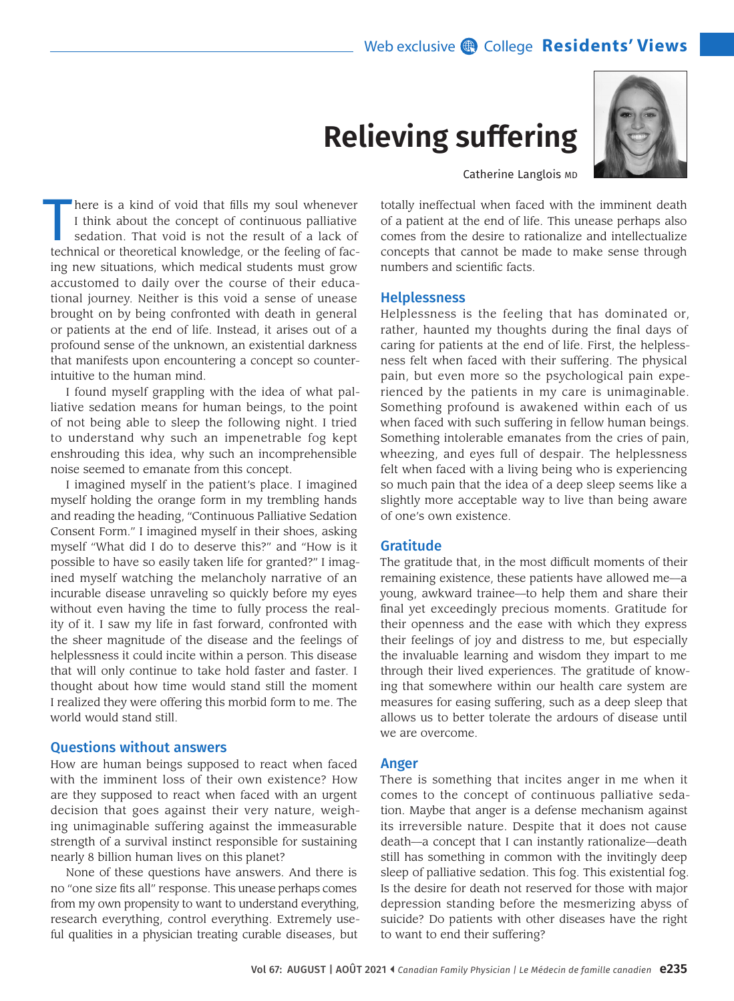## Web exclusive **@** College **Residents' Views**

# **Relieving suffering**



Catherine Langlois MD

here is a kind of void that fills my soul whenever I think about the concept of continuous palliative sedation. That void is not the result of a lack of technical or theoretical knowledge, or the feeling of facing new situations, which medical students must grow accustomed to daily over the course of their educational journey. Neither is this void a sense of unease brought on by being confronted with death in general or patients at the end of life. Instead, it arises out of a profound sense of the unknown, an existential darkness that manifests upon encountering a concept so counterintuitive to the human mind.

I found myself grappling with the idea of what palliative sedation means for human beings, to the point of not being able to sleep the following night. I tried to understand why such an impenetrable fog kept enshrouding this idea, why such an incomprehensible noise seemed to emanate from this concept.

I imagined myself in the patient's place. I imagined myself holding the orange form in my trembling hands and reading the heading, "Continuous Palliative Sedation Consent Form." I imagined myself in their shoes, asking myself "What did I do to deserve this?" and "How is it possible to have so easily taken life for granted?" I imagined myself watching the melancholy narrative of an incurable disease unraveling so quickly before my eyes without even having the time to fully process the reality of it. I saw my life in fast forward, confronted with the sheer magnitude of the disease and the feelings of helplessness it could incite within a person. This disease that will only continue to take hold faster and faster. I thought about how time would stand still the moment I realized they were offering this morbid form to me. The world would stand still.

#### Questions without answers

How are human beings supposed to react when faced with the imminent loss of their own existence? How are they supposed to react when faced with an urgent decision that goes against their very nature, weighing unimaginable suffering against the immeasurable strength of a survival instinct responsible for sustaining nearly 8 billion human lives on this planet?

None of these questions have answers. And there is no "one size fits all" response. This unease perhaps comes from my own propensity to want to understand everything, research everything, control everything. Extremely useful qualities in a physician treating curable diseases, but

of a patient at the end of life. This unease perhaps also comes from the desire to rationalize and intellectualize concepts that cannot be made to make sense through numbers and scientific facts.

totally ineffectual when faced with the imminent death

### Helplessness

Helplessness is the feeling that has dominated or, rather, haunted my thoughts during the final days of caring for patients at the end of life. First, the helplessness felt when faced with their suffering. The physical pain, but even more so the psychological pain experienced by the patients in my care is unimaginable. Something profound is awakened within each of us when faced with such suffering in fellow human beings. Something intolerable emanates from the cries of pain, wheezing, and eyes full of despair. The helplessness felt when faced with a living being who is experiencing so much pain that the idea of a deep sleep seems like a slightly more acceptable way to live than being aware of one's own existence.

#### Gratitude

The gratitude that, in the most difficult moments of their remaining existence, these patients have allowed me—a young, awkward trainee—to help them and share their final yet exceedingly precious moments. Gratitude for their openness and the ease with which they express their feelings of joy and distress to me, but especially the invaluable learning and wisdom they impart to me through their lived experiences. The gratitude of knowing that somewhere within our health care system are measures for easing suffering, such as a deep sleep that allows us to better tolerate the ardours of disease until we are overcome.

#### Anger

There is something that incites anger in me when it comes to the concept of continuous palliative sedation. Maybe that anger is a defense mechanism against its irreversible nature. Despite that it does not cause death—a concept that I can instantly rationalize—death still has something in common with the invitingly deep sleep of palliative sedation. This fog. This existential fog. Is the desire for death not reserved for those with major depression standing before the mesmerizing abyss of suicide? Do patients with other diseases have the right to want to end their suffering?